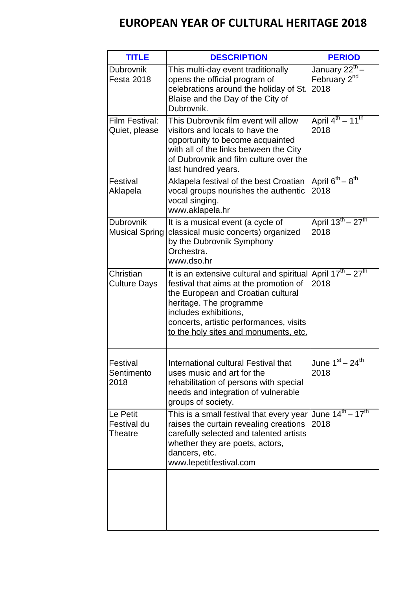## **EUROPEAN YEAR OF CULTURAL HERITAGE 2018**

| <b>TITLE</b>                       | <b>DESCRIPTION</b>                                                                                                                                                                                                                                                | <b>PERIOD</b>                                                  |
|------------------------------------|-------------------------------------------------------------------------------------------------------------------------------------------------------------------------------------------------------------------------------------------------------------------|----------------------------------------------------------------|
| Dubrovnik<br><b>Festa 2018</b>     | This multi-day event traditionally<br>opens the official program of<br>celebrations around the holiday of St.<br>Blaise and the Day of the City of<br>Dubrovnik.                                                                                                  | January 22 <sup>th</sup> -<br>February 2 <sup>nd</sup><br>2018 |
| Film Festival:<br>Quiet, please    | This Dubrovnik film event will allow<br>visitors and locals to have the<br>opportunity to become acquainted<br>with all of the links between the City<br>of Dubrovnik and film culture over the<br>last hundred years.                                            | April 4 <sup>th</sup> – 11 <sup>th</sup><br>2018               |
| Festival<br>Aklapela               | Aklapela festival of the best Croatian<br>vocal groups nourishes the authentic<br>vocal singing.<br>www.aklapela.hr                                                                                                                                               | April $6^{th} - 8^{th}$<br>2018                                |
| Dubrovnik<br><b>Musical Spring</b> | It is a musical event (a cycle of<br>classical music concerts) organized<br>by the Dubrovnik Symphony<br>Orchestra.<br>www.dso.hr                                                                                                                                 | April 13 <sup>th</sup> – 27 <sup>th</sup><br>2018              |
| Christian<br><b>Culture Days</b>   | It is an extensive cultural and spiritual<br>festival that aims at the promotion of<br>the European and Croatian cultural<br>heritage. The programme<br>includes exhibitions,<br>concerts, artistic performances, visits<br>to the holy sites and monuments, etc. | April $17^{th} - 27^{th}$<br>2018                              |
| Festival<br>Sentimento<br>2018     | International cultural Festival that<br>uses music and art for the<br>rehabilitation of persons with special<br>needs and integration of vulnerable<br>groups of society.                                                                                         | June $1st - 24th$<br>2018                                      |
| Le Petit<br>Festival du<br>Theatre | This is a small festival that every year<br>raises the curtain revealing creations<br>carefully selected and talented artists<br>whether they are poets, actors,<br>dancers, etc.<br>www.lepetitfestival.com                                                      | June $14^{th} - 17^{th}$<br>2018                               |
|                                    |                                                                                                                                                                                                                                                                   |                                                                |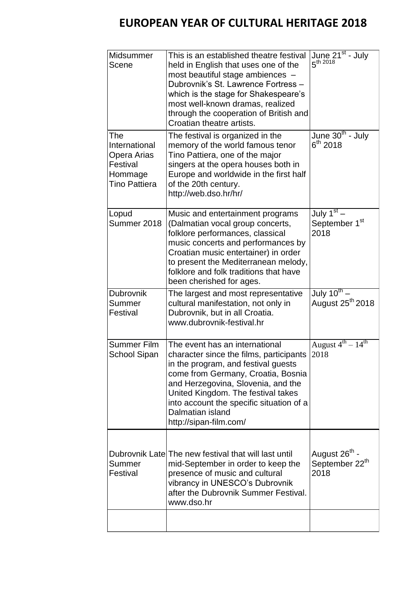## **EUROPEAN YEAR OF CULTURAL HERITAGE 2018**

| Midsummer<br>Scene                                                                 | This is an established theatre festival<br>held in English that uses one of the<br>most beautiful stage ambiences -<br>Dubrovnik's St. Lawrence Fortress -<br>which is the stage for Shakespeare's<br>most well-known dramas, realized<br>through the cooperation of British and<br>Croatian theatre artists.                | June 21 <sup>st</sup> - July<br>$5^{th}$ 2018                   |
|------------------------------------------------------------------------------------|------------------------------------------------------------------------------------------------------------------------------------------------------------------------------------------------------------------------------------------------------------------------------------------------------------------------------|-----------------------------------------------------------------|
| The<br>International<br>Opera Arias<br>Festival<br>Hommage<br><b>Tino Pattiera</b> | The festival is organized in the<br>memory of the world famous tenor<br>Tino Pattiera, one of the major<br>singers at the opera houses both in<br>Europe and worldwide in the first half<br>of the 20th century.<br>http://web.dso.hr/hr/                                                                                    | June 30 <sup>th</sup> - July<br>$6^{th}$ 2018                   |
| Lopud<br>Summer 2018                                                               | Music and entertainment programs<br>(Dalmatian vocal group concerts,<br>folklore performances, classical<br>music concerts and performances by<br>Croatian music entertainer) in order<br>to present the Mediterranean melody,<br>folklore and folk traditions that have<br>been cherished for ages.                         | July 1 <sup>st</sup><br>September 1 <sup>st</sup><br>2018       |
| Dubrovnik<br>Summer<br>Festival                                                    | The largest and most representative<br>cultural manifestation, not only in<br>Dubrovnik, but in all Croatia.<br>www.dubrovnik-festival.hr                                                                                                                                                                                    | July 10 <sup>th</sup> –<br>August 25 <sup>th</sup> 2018         |
| <b>Summer Film</b><br><b>School Sipan</b>                                          | The event has an international<br>character since the films, participants<br>in the program, and festival guests<br>come from Germany, Croatia, Bosnia<br>and Herzegovina, Slovenia, and the<br>United Kingdom. The festival takes<br>into account the specific situation of a<br>Dalmatian island<br>http://sipan-film.com/ | August $4^{th}$ – $14^{th}$<br>2018                             |
| Summer<br>Festival                                                                 | Dubrovnik Late The new festival that will last until<br>mid-September in order to keep the<br>presence of music and cultural<br>vibrancy in UNESCO's Dubrovnik<br>after the Dubrovnik Summer Festival.<br>www.dso.hr                                                                                                         | August 26 <sup>th</sup> -<br>September 22 <sup>th</sup><br>2018 |
|                                                                                    |                                                                                                                                                                                                                                                                                                                              |                                                                 |